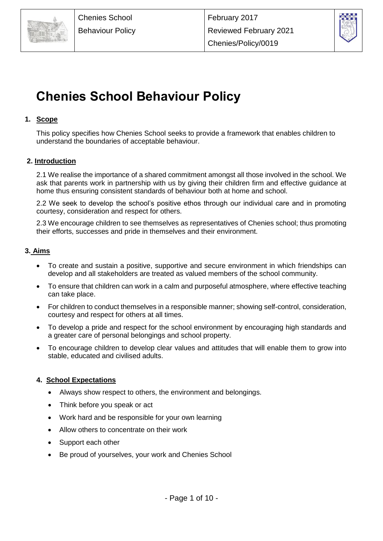



# **Chenies School Behaviour Policy**

# **1. Scope**

This policy specifies how Chenies School seeks to provide a framework that enables children to understand the boundaries of acceptable behaviour.

# **2. Introduction**

2.1 We realise the importance of a shared commitment amongst all those involved in the school. We ask that parents work in partnership with us by giving their children firm and effective guidance at home thus ensuring consistent standards of behaviour both at home and school.

2.2 We seek to develop the school's positive ethos through our individual care and in promoting courtesy, consideration and respect for others.

2.3 We encourage children to see themselves as representatives of Chenies school; thus promoting their efforts, successes and pride in themselves and their environment.

# **3. Aims**

- To create and sustain a positive, supportive and secure environment in which friendships can develop and all stakeholders are treated as valued members of the school community.
- To ensure that children can work in a calm and purposeful atmosphere, where effective teaching can take place.
- For children to conduct themselves in a responsible manner; showing self-control, consideration, courtesy and respect for others at all times.
- To develop a pride and respect for the school environment by encouraging high standards and a greater care of personal belongings and school property.
- To encourage children to develop clear values and attitudes that will enable them to grow into stable, educated and civilised adults.

# **4. School Expectations**

- Always show respect to others, the environment and belongings.
- Think before you speak or act
- Work hard and be responsible for your own learning
- Allow others to concentrate on their work
- Support each other
- Be proud of yourselves, your work and Chenies School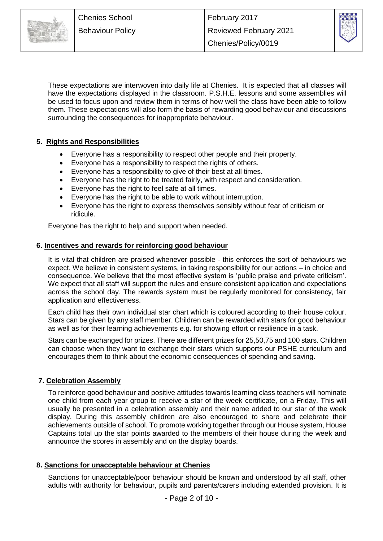

These expectations are interwoven into daily life at Chenies. It is expected that all classes will have the expectations displayed in the classroom. P.S.H.E. lessons and some assemblies will be used to focus upon and review them in terms of how well the class have been able to follow them. These expectations will also form the basis of rewarding good behaviour and discussions surrounding the consequences for inappropriate behaviour.

# **5. Rights and Responsibilities**

- Everyone has a responsibility to respect other people and their property.
- Everyone has a responsibility to respect the rights of others.
- Everyone has a responsibility to give of their best at all times.
- Everyone has the right to be treated fairly, with respect and consideration.
- Everyone has the right to feel safe at all times.
- Everyone has the right to be able to work without interruption.
- Everyone has the right to express themselves sensibly without fear of criticism or ridicule.

Everyone has the right to help and support when needed.

### **6. Incentives and rewards for reinforcing good behaviour**

It is vital that children are praised whenever possible - this enforces the sort of behaviours we expect. We believe in consistent systems, in taking responsibility for our actions – in choice and consequence. We believe that the most effective system is 'public praise and private criticism'. We expect that all staff will support the rules and ensure consistent application and expectations across the school day. The rewards system must be regularly monitored for consistency, fair application and effectiveness.

Each child has their own individual star chart which is coloured according to their house colour. Stars can be given by any staff member. Children can be rewarded with stars for good behaviour as well as for their learning achievements e.g. for showing effort or resilience in a task.

Stars can be exchanged for prizes. There are different prizes for 25,50,75 and 100 stars. Children can choose when they want to exchange their stars which supports our PSHE curriculum and encourages them to think about the economic consequences of spending and saving.

### **7. Celebration Assembly**

To reinforce good behaviour and positive attitudes towards learning class teachers will nominate one child from each year group to receive a star of the week certificate, on a Friday. This will usually be presented in a celebration assembly and their name added to our star of the week display. During this assembly children are also encouraged to share and celebrate their achievements outside of school. To promote working together through our House system, House Captains total up the star points awarded to the members of their house during the week and announce the scores in assembly and on the display boards.

# **8. Sanctions for unacceptable behaviour at Chenies**

Sanctions for unacceptable/poor behaviour should be known and understood by all staff, other adults with authority for behaviour, pupils and parents/carers including extended provision. It is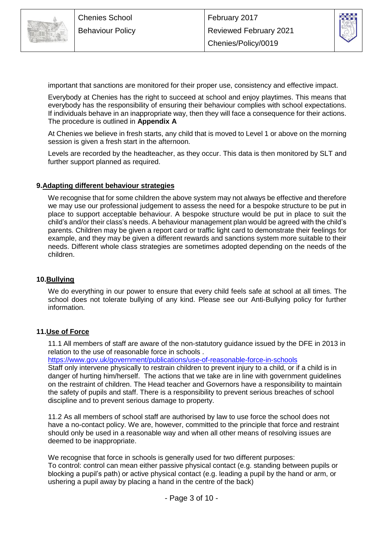



important that sanctions are monitored for their proper use, consistency and effective impact.

Everybody at Chenies has the right to succeed at school and enjoy playtimes. This means that everybody has the responsibility of ensuring their behaviour complies with school expectations. If individuals behave in an inappropriate way, then they will face a consequence for their actions. The procedure is outlined in **Appendix A**

At Chenies we believe in fresh starts, any child that is moved to Level 1 or above on the morning session is given a fresh start in the afternoon.

Levels are recorded by the headteacher, as they occur. This data is then monitored by SLT and further support planned as required.

#### **9.Adapting different behaviour strategies**

We recognise that for some children the above system may not always be effective and therefore we may use our professional judgement to assess the need for a bespoke structure to be put in place to support acceptable behaviour. A bespoke structure would be put in place to suit the child's and/or their class's needs. A behaviour management plan would be agreed with the child's parents. Children may be given a report card or traffic light card to demonstrate their feelings for example, and they may be given a different rewards and sanctions system more suitable to their needs. Different whole class strategies are sometimes adopted depending on the needs of the children.

### **10.Bullying**

We do everything in our power to ensure that every child feels safe at school at all times. The school does not tolerate bullying of any kind. Please see our Anti-Bullying policy for further information.

### **11.Use of Force**

11.1 All members of staff are aware of the non-statutory guidance issued by the DFE in 2013 in relation to the use of reasonable force in schools .

<https://www.gov.uk/government/publications/use-of-reasonable-force-in-schools>

Staff only intervene physically to restrain children to prevent injury to a child, or if a child is in danger of hurting him/herself. The actions that we take are in line with government guidelines on the restraint of children. The Head teacher and Governors have a responsibility to maintain the safety of pupils and staff. There is a responsibility to prevent serious breaches of school discipline and to prevent serious damage to property.

11.2 As all members of school staff are authorised by law to use force the school does not have a no-contact policy. We are, however, committed to the principle that force and restraint should only be used in a reasonable way and when all other means of resolving issues are deemed to be inappropriate.

We recognise that force in schools is generally used for two different purposes:

To control: control can mean either passive physical contact (e.g. standing between pupils or blocking a pupil's path) or active physical contact (e.g. leading a pupil by the hand or arm, or ushering a pupil away by placing a hand in the centre of the back)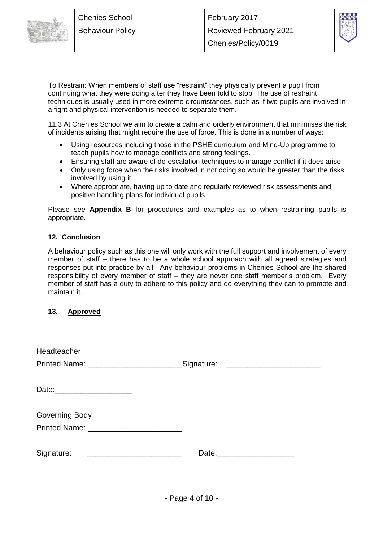



To Restrain: When members of staff use "restraint" they physically prevent a pupil from continuing what they were doing after they have been told to stop. The use of restraint techniques is usually used in more extreme circumstances, such as if two pupils are involved in a fight and physical intervention is needed to separate them.

11.3 At Chenies School we aim to create a calm and orderly environment that minimises the risk of incidents arising that might require the use of force. This is done in a number of ways:

- Using resources including those in the PSHE curriculum and Mind-Up programme to teach pupils how to manage conflicts and strong feelings.
- Ensuring staff are aware of de-escalation techniques to manage conflict if it does arise
- Only using force when the risks involved in not doing so would be greater than the risks involved by using it.
- Where appropriate, having up to date and regularly reviewed risk assessments and positive handling plans for individual pupils

Please see **Appendix B** for procedures and examples as to when restraining pupils is appropriate.

# **12. Conclusion**

A behaviour policy such as this one will only work with the full support and involvement of every member of staff – there has to be a whole school approach with all agreed strategies and responses put into practice by all. Any behaviour problems in Chenies School are the shared responsibility of every member of staff – they are never one staff member's problem. Every member of staff has a duty to adhere to this policy and do everything they can to promote and maintain it.

# **13. Approved**

| Headteacher                  |                                      |
|------------------------------|--------------------------------------|
|                              | _Signature: ________________________ |
|                              |                                      |
| Date: ______________________ |                                      |
|                              |                                      |
| Governing Body               |                                      |
|                              |                                      |
|                              |                                      |
| Signature:                   | Date: ________________________       |
|                              |                                      |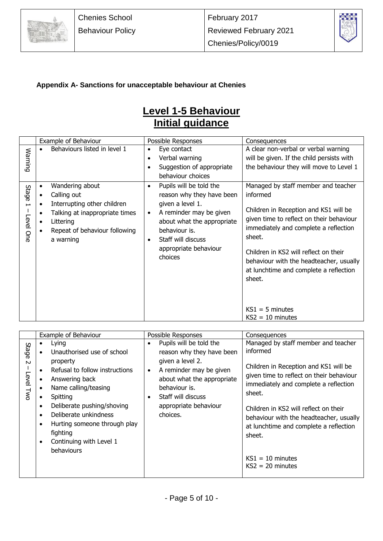



# **Appendix A- Sanctions for unacceptable behaviour at Chenies**

# **Level 1-5 Behaviour Initial guidance**

|                                                | Example of Behaviour                                                                                                                                                                                           | Possible Responses                                                                                                                                                                                                                                  | Consequences                                                                                                                                                                                                                                                                                                                                                               |
|------------------------------------------------|----------------------------------------------------------------------------------------------------------------------------------------------------------------------------------------------------------------|-----------------------------------------------------------------------------------------------------------------------------------------------------------------------------------------------------------------------------------------------------|----------------------------------------------------------------------------------------------------------------------------------------------------------------------------------------------------------------------------------------------------------------------------------------------------------------------------------------------------------------------------|
| Warning                                        | Behaviours listed in level 1                                                                                                                                                                                   | Eye contact<br>$\bullet$<br>Verbal warning<br>$\bullet$<br>Suggestion of appropriate<br>behaviour choices                                                                                                                                           | A clear non-verbal or verbal warning<br>will be given. If the child persists with<br>the behaviour they will move to Level 1                                                                                                                                                                                                                                               |
| Stage<br>$\overline{\phantom{0}}$<br>Level One | Wandering about<br>$\bullet$<br>Calling out<br>$\bullet$<br>Interrupting other children<br>$\bullet$<br>Talking at inappropriate times<br>$\bullet$<br>Littering<br>Repeat of behaviour following<br>a warning | Pupils will be told the<br>$\bullet$<br>reason why they have been<br>given a level 1.<br>A reminder may be given<br>$\bullet$<br>about what the appropriate<br>behaviour is.<br>Staff will discuss<br>$\bullet$<br>appropriate behaviour<br>choices | Managed by staff member and teacher<br>informed<br>Children in Reception and KS1 will be<br>given time to reflect on their behaviour<br>immediately and complete a reflection<br>sheet.<br>Children in KS2 will reflect on their<br>behaviour with the headteacher, usually<br>at lunchtime and complete a reflection<br>sheet.<br>$KS1 = 5$ minutes<br>$KS2 = 10$ minutes |

|                              | Example of Behaviour                                                                                                                                                                                                                                                                                          | Possible Responses                                                                                                                                                                                                                           | Consequences                                                                                                                                                                                                                                                                                                                                                                |
|------------------------------|---------------------------------------------------------------------------------------------------------------------------------------------------------------------------------------------------------------------------------------------------------------------------------------------------------------|----------------------------------------------------------------------------------------------------------------------------------------------------------------------------------------------------------------------------------------------|-----------------------------------------------------------------------------------------------------------------------------------------------------------------------------------------------------------------------------------------------------------------------------------------------------------------------------------------------------------------------------|
| Stage<br>$\sim$<br>Level Twc | Lying<br>Unauthorised use of school<br>property<br>Refusal to follow instructions<br>Answering back<br>Name calling/teasing<br>Spitting<br>Deliberate pushing/shoving<br>Deliberate unkindness<br>Hurting someone through play<br>$\bullet$<br>fighting<br>Continuing with Level 1<br>$\bullet$<br>behaviours | Pupils will be told the<br>$\bullet$<br>reason why they have been<br>given a level 2.<br>A reminder may be given<br>$\bullet$<br>about what the appropriate<br>behaviour is.<br>Staff will discuss<br>٠<br>appropriate behaviour<br>choices. | Managed by staff member and teacher<br>informed<br>Children in Reception and KS1 will be<br>given time to reflect on their behaviour<br>immediately and complete a reflection<br>sheet.<br>Children in KS2 will reflect on their<br>behaviour with the headteacher, usually<br>at lunchtime and complete a reflection<br>sheet.<br>$KS1 = 10$ minutes<br>$KS2 = 20$ minutes |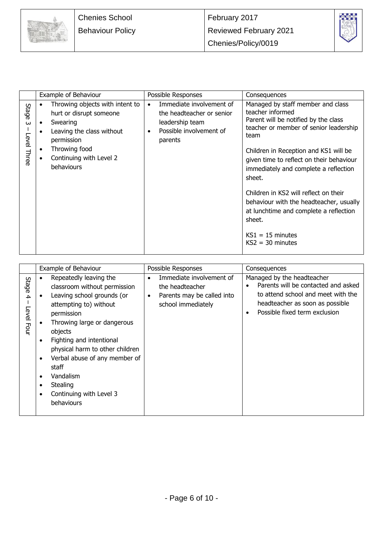



|                             | Example of Behaviour                                                                                              | Possible Responses                                                                                                                       | Consequences                                                                                                                                    |
|-----------------------------|-------------------------------------------------------------------------------------------------------------------|------------------------------------------------------------------------------------------------------------------------------------------|-------------------------------------------------------------------------------------------------------------------------------------------------|
| Stage<br>ω<br>Level<br>Thre | Throwing objects with intent to<br>hurt or disrupt someone<br>Swearing<br>Leaving the class without<br>permission | Immediate involvement of<br>$\bullet$<br>the headteacher or senior<br>leadership team<br>Possible involvement of<br>$\bullet$<br>parents | Managed by staff member and class<br>teacher informed<br>Parent will be notified by the class<br>teacher or member of senior leadership<br>team |
|                             | Throwing food<br>Continuing with Level 2<br>behaviours                                                            |                                                                                                                                          | Children in Reception and KS1 will be<br>given time to reflect on their behaviour<br>immediately and complete a reflection<br>sheet.            |
|                             |                                                                                                                   |                                                                                                                                          | Children in KS2 will reflect on their<br>behaviour with the headteacher, usually<br>at lunchtime and complete a reflection<br>sheet.            |
|                             |                                                                                                                   |                                                                                                                                          | $KS1 = 15$ minutes<br>$KS2 = 30$ minutes                                                                                                        |

|                          | Example of Behaviour                                                                                                                                                                                                                                                                                                                                                                                | Possible Responses                                                                                                        | Consequences                                                                                                                                                                                          |
|--------------------------|-----------------------------------------------------------------------------------------------------------------------------------------------------------------------------------------------------------------------------------------------------------------------------------------------------------------------------------------------------------------------------------------------------|---------------------------------------------------------------------------------------------------------------------------|-------------------------------------------------------------------------------------------------------------------------------------------------------------------------------------------------------|
| Stage<br>4<br>Level Four | Repeatedly leaving the<br>classroom without permission<br>Leaving school grounds (or<br>attempting to) without<br>permission<br>Throwing large or dangerous<br>objects<br>Fighting and intentional<br>$\bullet$<br>physical harm to other children<br>Verbal abuse of any member of<br>$\bullet$<br>staff<br>Vandalism<br>٠<br>Stealing<br>٠<br>Continuing with Level 3<br>$\epsilon$<br>behaviours | Immediate involvement of<br>$\bullet$<br>the headteacher<br>Parents may be called into<br>$\bullet$<br>school immediately | Managed by the headteacher<br>Parents will be contacted and asked<br>$\bullet$<br>to attend school and meet with the<br>headteacher as soon as possible<br>Possible fixed term exclusion<br>$\bullet$ |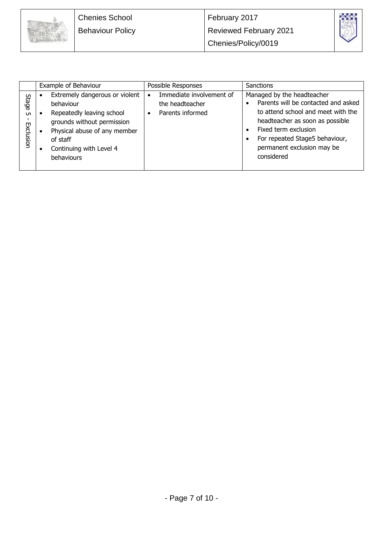



|                                 | Example of Behaviour                                                                                                                                                                        | Possible Responses                                                           | <b>Sanctions</b>                                                                                                                                                                                                                                                           |
|---------------------------------|---------------------------------------------------------------------------------------------------------------------------------------------------------------------------------------------|------------------------------------------------------------------------------|----------------------------------------------------------------------------------------------------------------------------------------------------------------------------------------------------------------------------------------------------------------------------|
| Stage<br><b>υπ</b><br>Exclusion | Extremely dangerous or violent<br>behaviour<br>Repeatedly leaving school<br>grounds without permission<br>Physical abuse of any member<br>of staff<br>Continuing with Level 4<br>behaviours | Immediate involvement of<br>$\bullet$<br>the headteacher<br>Parents informed | Managed by the headteacher<br>Parents will be contacted and asked<br>to attend school and meet with the<br>headteacher as soon as possible<br>Fixed term exclusion<br>$\bullet$<br>For repeated Stage5 behaviour,<br>$\bullet$<br>permanent exclusion may be<br>considered |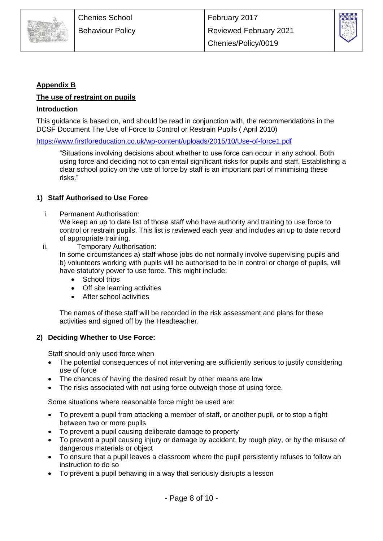



# **Appendix B**

### **The use of restraint on pupils**

### **Introduction**

This guidance is based on, and should be read in conjunction with, the recommendations in the DCSF Document The Use of Force to Control or Restrain Pupils ( April 2010)

<https://www.firstforeducation.co.uk/wp-content/uploads/2015/10/Use-of-force1.pdf>

"Situations involving decisions about whether to use force can occur in any school. Both using force and deciding not to can entail significant risks for pupils and staff. Establishing a clear school policy on the use of force by staff is an important part of minimising these risks."

### **1) Staff Authorised to Use Force**

i. Permanent Authorisation:

We keep an up to date list of those staff who have authority and training to use force to control or restrain pupils. This list is reviewed each year and includes an up to date record of appropriate training.

ii. Temporary Authorisation:

In some circumstances a) staff whose jobs do not normally involve supervising pupils and b) volunteers working with pupils will be authorised to be in control or charge of pupils, will have statutory power to use force. This might include:

- School trips
- Off site learning activities
- After school activities

The names of these staff will be recorded in the risk assessment and plans for these activities and signed off by the Headteacher.

### **2) Deciding Whether to Use Force:**

Staff should only used force when

- The potential consequences of not intervening are sufficiently serious to justify considering use of force
- The chances of having the desired result by other means are low
- The risks associated with not using force outweigh those of using force.

Some situations where reasonable force might be used are:

- To prevent a pupil from attacking a member of staff, or another pupil, or to stop a fight between two or more pupils
- To prevent a pupil causing deliberate damage to property
- To prevent a pupil causing injury or damage by accident, by rough play, or by the misuse of dangerous materials or object
- To ensure that a pupil leaves a classroom where the pupil persistently refuses to follow an instruction to do so
- To prevent a pupil behaving in a way that seriously disrupts a lesson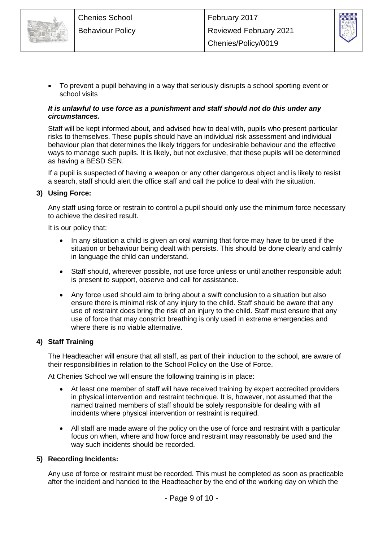



 To prevent a pupil behaving in a way that seriously disrupts a school sporting event or school visits

### *It is unlawful to use force as a punishment and staff should not do this under any circumstances.*

Staff will be kept informed about, and advised how to deal with, pupils who present particular risks to themselves. These pupils should have an individual risk assessment and individual behaviour plan that determines the likely triggers for undesirable behaviour and the effective ways to manage such pupils. It is likely, but not exclusive, that these pupils will be determined as having a BESD SEN.

If a pupil is suspected of having a weapon or any other dangerous object and is likely to resist a search, staff should alert the office staff and call the police to deal with the situation.

### **3) Using Force:**

Any staff using force or restrain to control a pupil should only use the minimum force necessary to achieve the desired result.

It is our policy that:

- In any situation a child is given an oral warning that force may have to be used if the situation or behaviour being dealt with persists. This should be done clearly and calmly in language the child can understand.
- Staff should, wherever possible, not use force unless or until another responsible adult is present to support, observe and call for assistance.
- Any force used should aim to bring about a swift conclusion to a situation but also ensure there is minimal risk of any injury to the child. Staff should be aware that any use of restraint does bring the risk of an injury to the child. Staff must ensure that any use of force that may constrict breathing is only used in extreme emergencies and where there is no viable alternative.

### **4) Staff Training**

The Headteacher will ensure that all staff, as part of their induction to the school, are aware of their responsibilities in relation to the School Policy on the Use of Force.

At Chenies School we will ensure the following training is in place:

- At least one member of staff will have received training by expert accredited providers in physical intervention and restraint technique. It is, however, not assumed that the named trained members of staff should be solely responsible for dealing with all incidents where physical intervention or restraint is required.
- All staff are made aware of the policy on the use of force and restraint with a particular focus on when, where and how force and restraint may reasonably be used and the way such incidents should be recorded.

### **5) Recording Incidents:**

Any use of force or restraint must be recorded. This must be completed as soon as practicable after the incident and handed to the Headteacher by the end of the working day on which the